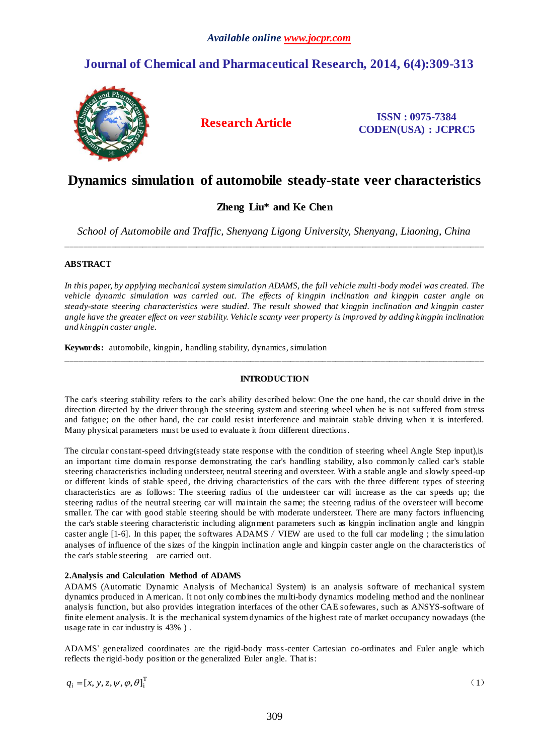## **Journal of Chemical and Pharmaceutical Research, 2014, 6(4):309-313**



**Research Article ISSN : 0975-7384 CODEN(USA) : JCPRC5**

# **Dynamics simulation of automobile steady-state veer characteristics**

## **Zheng Liu\* and Ke Chen**

*School of Automobile and Traffic, Shenyang Ligong University, Shenyang, Liaoning, China* \_\_\_\_\_\_\_\_\_\_\_\_\_\_\_\_\_\_\_\_\_\_\_\_\_\_\_\_\_\_\_\_\_\_\_\_\_\_\_\_\_\_\_\_\_\_\_\_\_\_\_\_\_\_\_\_\_\_\_\_\_\_\_\_\_\_\_\_\_\_\_\_\_\_\_\_\_\_\_\_\_\_\_\_\_\_\_\_\_\_\_\_\_

## **ABSTRACT**

*In this paper, by applying mechanical system simulation ADAMS, the full vehicle multi-body model was created. The vehicle dynamic simulation was carried out. The effects of kingpin inclination and kingpin caster angle on steady-state steering characteristics were studied. The result showed that kingpin inclination and kingpin caster angle have the greater effect on veer stability. Vehicle scanty veer property is improved by adding kingpin inclination and kingpin caster angle.*

**Keywords:** automobile, kingpin, handling stability, dynamics, simulation

## **INTRODUCTION**

\_\_\_\_\_\_\_\_\_\_\_\_\_\_\_\_\_\_\_\_\_\_\_\_\_\_\_\_\_\_\_\_\_\_\_\_\_\_\_\_\_\_\_\_\_\_\_\_\_\_\_\_\_\_\_\_\_\_\_\_\_\_\_\_\_\_\_\_\_\_\_\_\_\_\_\_\_\_\_\_\_\_\_\_\_\_\_\_\_\_\_\_\_

The car's steering stability refers to the car's ability described below: One the one hand, the car should drive in the direction directed by the driver through the steering system and steering wheel when he is not suffered from stress and fatigue; on the other hand, the car could resist interference and maintain stable driving when it is interfered. Many physical parameters must be used to evaluate it from different directions.

The circular constant-speed driving(steady state response with the condition of steering wheel Angle Step input),is an important time domain response demonstrating the car's handling stability, also commonly called car's stable steering characteristics including understeer, neutral steering and oversteer. With a stable angle and slowly speed-up or different kinds of stable speed, the driving characteristics of the cars with the three different types of steering characteristics are as follows: The steering radius of the understeer car will increase as the car speeds up; the steering radius of the neutral steering car will maintain the same; the steering radius of the oversteer will become smaller. The car with good stable steering should be with moderate understeer. There are many factors influencing the car's stable steering characteristic including alignment parameters such as kingpin inclination angle and kingpin caster angle [1-6]. In this paper, the softwares ADAMS/VIEW are used to the full car modeling ; the simulation analyses of influence of the sizes of the kingpin inclination angle and kingpin caster angle on the characteristics of the car's stable steering are carried out.

## **2.Analysis and Calculation Method of ADAMS**

ADAMS (Automatic Dynamic Analysis of Mechanical System) is an analysis software of mechanical system dynamics produced in American. It not only combines the multi-body dynamics modeling method and the nonlinear analysis function, but also provides integration interfaces of the other CAE sofewares, such as ANSYS-software of finite element analysis. It is the mechanical system dynamics of the highest rate of market occupancy nowadays (the usage rate in car industry is 43% ) .

ADAMS' generalized coordinates are the rigid-body mass-center Cartesian co-ordinates and Euler angle which reflects the rigid-body position or the generalized Euler angle. That is:

$$
q_i = [x, y, z, \psi, \varphi, \theta]_i^{\mathrm{T}}
$$
 (1)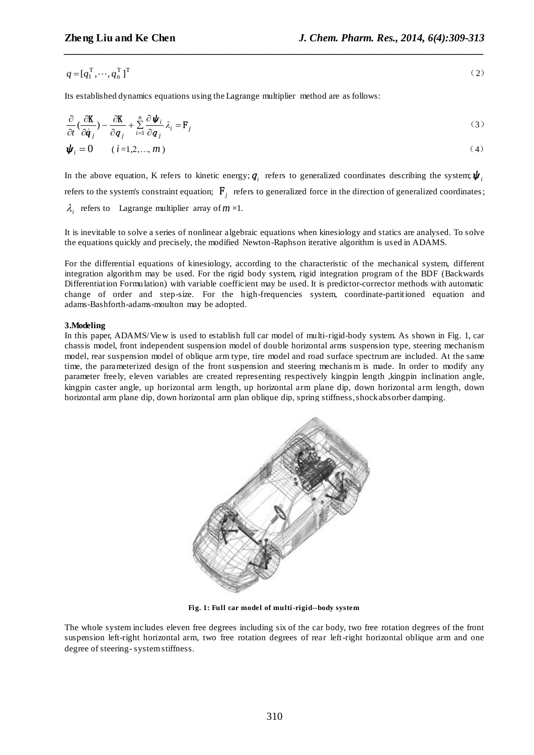$$
q = [q_1^\mathrm{T}, \cdots, q_n^\mathrm{T}]^\mathrm{T} \tag{2}
$$

*\_\_\_\_\_\_\_\_\_\_\_\_\_\_\_\_\_\_\_\_\_\_\_\_\_\_\_\_\_\_\_\_\_\_\_\_\_\_\_\_\_\_\_\_\_\_\_\_\_\_\_\_\_\_\_\_\_\_\_\_\_\_\_\_\_\_\_\_\_\_\_\_\_\_\_\_\_\_*

Its established dynamics equations using the Lagrange multiplier method are as follows:

$$
\frac{\partial}{\partial t} \left( \frac{\partial \mathbf{K}}{\partial \dot{q}_j} \right) - \frac{\partial \mathbf{K}}{\partial q_j} + \sum_{i=1}^n \frac{\partial \psi_i}{\partial q_j} \lambda_i = \mathbf{F}_j
$$
\n
$$
\psi_i = 0 \qquad (i = 1, 2, ..., m)
$$
\n(3)

In the above equation, K refers to kinetic energy;  $q_i$  refers to generalized coordinates describing the system;  $\pmb{\psi}_i$ refers to the system's constraint equation;  $F_j$  refers to generalized force in the direction of generalized coordinates;

 $\lambda_i$  refers to Lagrange multiplier array of  $m \times 1$ .

It is inevitable to solve a series of nonlinear algebraic equations when kinesiology and statics are analysed. To solve the equations quickly and precisely, the modified Newton-Raphson iterative algorithm is used in ADAMS.

For the differential equations of kinesiology, according to the characteristic of the mechanical system, different integration algorithm may be used. For the rigid body system, rigid integration program of the BDF (Backwards Differentiation Formulation) with variable coefficient may be used. It is predictor-corrector methods with automatic change of order and step-size. For the high-frequencies system, coordinate-partitioned equation and adams-Bashforth-adams-moulton may be adopted.

### **3.Modeling**

In this paper, ADAMS/View is used to establish full car model of multi-rigid-body system. As shown in Fig. 1, car chassis model, front independent suspension model of double horizontal arms suspension type, steering mechanism model, rear suspension model of oblique arm type, tire model and road surface spectrum are included. At the same time, the parameterized design of the front suspension and steering mechanis m is made. In order to modify any parameter freely, eleven variables are created representing respectively kingpin length ,kingpin inclination angle, kingpin caster angle, up horizontal arm length, up horizontal arm plane dip, down horizontal arm length, down horizontal arm plane dip, down horizontal arm plan oblique dip, spring stiffness, shock absorber damping.



**Fig. 1: Full car model of multi-rigid--body system**

The whole system includes eleven free degrees including six of the car body, two free rotation degrees of the front suspension left-right horizontal arm, two free rotation degrees of rear left-right horizontal oblique arm and one degree of steering- system stiffness.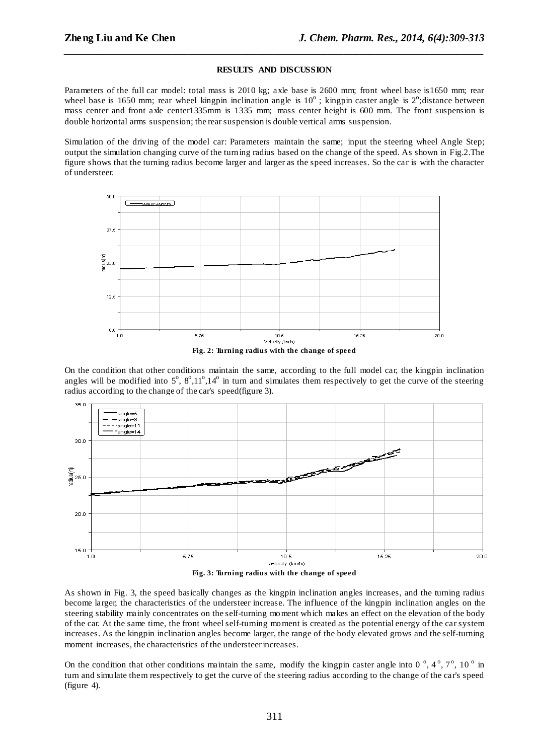#### **RESULTS AND DISCUSSION**

*\_\_\_\_\_\_\_\_\_\_\_\_\_\_\_\_\_\_\_\_\_\_\_\_\_\_\_\_\_\_\_\_\_\_\_\_\_\_\_\_\_\_\_\_\_\_\_\_\_\_\_\_\_\_\_\_\_\_\_\_\_\_\_\_\_\_\_\_\_\_\_\_\_\_\_\_\_\_*

Parameters of the full car model: total mass is 2010 kg; axle base is 2600 mm; front wheel base is1650 mm; rear wheel base is 1650 mm; rear wheel kingpin inclination angle is  $10^{\circ}$ ; kingpin caster angle is  $2^{\circ}$ ; distance between mass center and front axle center1335mm is 1335 mm; mass center height is 600 mm. The front suspension is double horizontal arms suspension; the rear suspension is double vertical arms suspension.

Simulation of the driving of the model car: Parameters maintain the same; input the steering wheel Angle Step; output the simulation changing curve of the turning radius based on the change of the speed. As shown in Fig.2.The figure shows that the turning radius become larger and larger as the speed increases. So the car is with the character of understeer.



**Fig. 2: Turning radius with the change of speed**

On the condition that other conditions maintain the same, according to the full model car, the kingpin inclination angles will be modified into  $5^\circ$ ,  $8^\circ$ ,  $11^\circ$ ,  $14^\circ$  in turn and simulates them respectively to get the curve of the steering radius according to the change of the car's speed(figure 3).



As shown in Fig. 3, the speed basically changes as the kingpin inclination angles increases, and the turning radius become larger, the characteristics of the understeer increase. The influence of the kingpin inclination angles on the steering stability mainly concentrates on the self-turning moment which makes an effect on the elevation of the body of the car. At the same time, the front wheel self-turning moment is created as the potential energy of the car system increases. As the kingpin inclination angles become larger, the range of the body elevated grows and the self-turning moment increases, the characteristics of the understeer increases.

On the condition that other conditions maintain the same, modify the kingpin caster angle into  $0^{\circ}$ ,  $4^{\circ}$ ,  $7^{\circ}$ ,  $10^{\circ}$  in turn and simulate them respectively to get the curve of the steering radius according to the change of the car's speed (figure 4).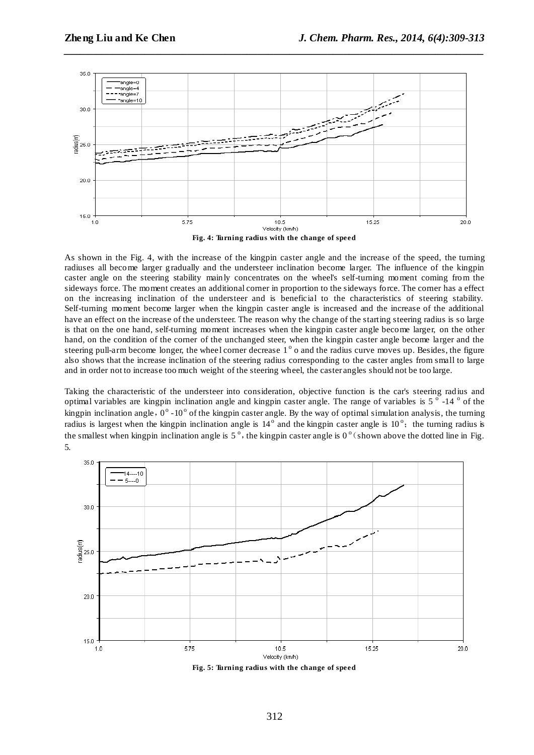

*\_\_\_\_\_\_\_\_\_\_\_\_\_\_\_\_\_\_\_\_\_\_\_\_\_\_\_\_\_\_\_\_\_\_\_\_\_\_\_\_\_\_\_\_\_\_\_\_\_\_\_\_\_\_\_\_\_\_\_\_\_\_\_\_\_\_\_\_\_\_\_\_\_\_\_\_\_\_*

As shown in the Fig. 4, with the increase of the kingpin caster angle and the increase of the speed, the turning radiuses all become larger gradually and the understeer inclination become larger. The influence of the kingpin caster angle on the steering stability mainly concentrates on the wheel's self-turning moment coming from the sideways force. The moment creates an additional corner in proportion to the sideways force. The corner has a effect on the increasing inclination of the understeer and is beneficial to the characteristics of steering stability. Self-turning moment become larger when the kingpin caster angle is increased and the increase of the additional have an effect on the increase of the understeer. The reason why the change of the starting steering radius is so large is that on the one hand, self-turning moment increases when the kingpin caster angle become larger, on the other hand, on the condition of the corner of the unchanged steer, when the kingpin caster angle become larger and the steering pull-arm become longer, the wheel corner decrease  $1^{\circ}$  o and the radius curve moves up. Besides, the figure also shows that the increase inclination of the steering radius corresponding to the caster angles from small to large and in order not to increase too much weight of the steering wheel, the caster angles should not be too large.

Taking the characteristic of the understeer into consideration, objective function is the car's steering radius and optimal variables are kingpin inclination angle and kingpin caster angle. The range of variables is  $5^{\circ}$  -14  $^{\circ}$  of the kingpin inclination angle,  $0^{\circ}$  -10° of the kingpin caster angle. By the way of optimal simulation analysis, the turning radius is largest when the kingpin inclination angle is  $14^{\circ}$  and the kingpin caster angle is  $10^{\circ}$ ; the turning radius is the smallest when kingpin inclination angle is  $5^\circ$ , the kingpin caster angle is  $0^\circ$  (shown above the dotted line in Fig. 5.



**Fig. 5: Turning radius with the change of speed**